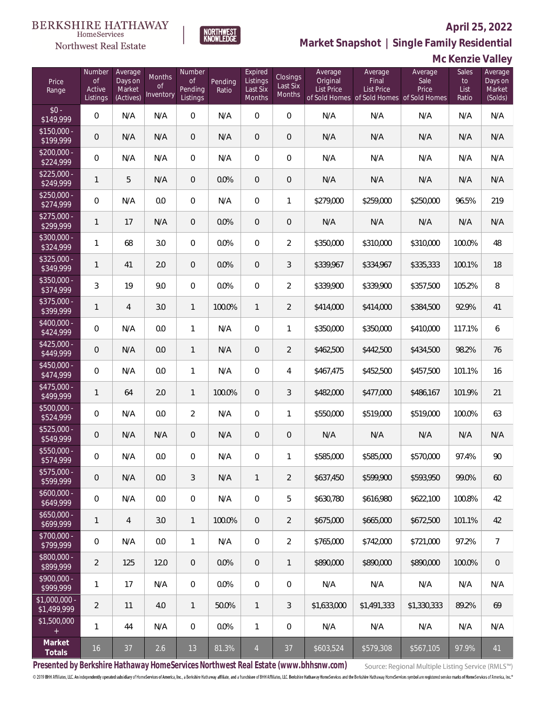

HomeServices Northwest Real Estate

**Market Snapshot | Single Family Residential**

# **Mc Kenzie Valley**

| Price<br>Range               | Number<br>of<br>Active<br>Listings | Average<br>Days on<br>Market<br>(Actives) | Months<br>0f<br>Inventory | Number<br><b>of</b><br>Pending<br>Listings | Pending<br>Ratio | Expired<br>Listings<br>Last Six<br>Months | Closings<br>Last Six<br>Months | Average<br>Original<br><b>List Price</b> | Average<br>Final<br>List Price<br>of Sold Homes of Sold Homes of Sold Homes | Average<br>Sale<br>Price | Sales<br>to<br>List<br>Ratio | Average<br>Days on<br>Market<br>(Solds) |
|------------------------------|------------------------------------|-------------------------------------------|---------------------------|--------------------------------------------|------------------|-------------------------------------------|--------------------------------|------------------------------------------|-----------------------------------------------------------------------------|--------------------------|------------------------------|-----------------------------------------|
| $$0 -$<br>\$149,999          | $\overline{0}$                     | N/A                                       | N/A                       | $\overline{0}$                             | N/A              | $\Omega$                                  | $\overline{0}$                 | N/A                                      | N/A                                                                         | N/A                      | N/A                          | N/A                                     |
| $$150,000 -$<br>\$199,999    | $\overline{0}$                     | N/A                                       | N/A                       | $\overline{0}$                             | N/A              | $\overline{0}$                            | $\overline{0}$                 | N/A                                      | N/A                                                                         | N/A                      | N/A                          | N/A                                     |
| $$200,000 -$<br>\$224,999    | $\overline{0}$                     | N/A                                       | N/A                       | $\overline{0}$                             | N/A              | $\Omega$                                  | $\overline{0}$                 | N/A                                      | N/A                                                                         | N/A                      | N/A                          | N/A                                     |
| $$225,000 -$<br>\$249,999    | 1                                  | 5                                         | N/A                       | $\overline{0}$                             | 0.0%             | $\overline{0}$                            | $\overline{0}$                 | N/A                                      | N/A                                                                         | N/A                      | N/A                          | N/A                                     |
| $$250,000 -$<br>\$274,999    | $\overline{0}$                     | N/A                                       | 0.0                       | $\overline{0}$                             | N/A              | $\overline{0}$                            | $\mathbf{1}$                   | \$279,000                                | \$259,000                                                                   | \$250,000                | 96.5%                        | 219                                     |
| $$275,000 -$<br>\$299,999    | 1                                  | 17                                        | N/A                       | $\overline{0}$                             | 0.0%             | $\overline{0}$                            | $\overline{0}$                 | N/A                                      | N/A                                                                         | N/A                      | N/A                          | N/A                                     |
| $$300,000 -$<br>\$324,999    | $\mathbf{1}$                       | 68                                        | 3.0                       | $\overline{0}$                             | 0.0%             | $\Omega$                                  | $\overline{2}$                 | \$350,000                                | \$310,000                                                                   | \$310,000                | 100.0%                       | 48                                      |
| $$325,000 -$<br>\$349,999    | $\mathbf{1}$                       | 41                                        | 2.0                       | $\overline{0}$                             | 0.0%             | $\overline{0}$                            | 3                              | \$339,967                                | \$334,967                                                                   | \$335,333                | 100.1%                       | 18                                      |
| $$350,000 -$<br>\$374,999    | 3                                  | 19                                        | 9.0                       | $\overline{0}$                             | 0.0%             | $\Omega$                                  | $\overline{2}$                 | \$339,900                                | \$339,900                                                                   | \$357,500                | 105.2%                       | 8                                       |
| $$375,000 -$<br>\$399,999    | 1                                  | $\overline{4}$                            | 3.0                       | $\mathbf{1}$                               | 100.0%           | $\mathbf{1}$                              | $\overline{2}$                 | \$414,000                                | \$414,000                                                                   | \$384,500                | 92.9%                        | 41                                      |
| $$400,000 -$<br>\$424,999    | $\overline{0}$                     | N/A                                       | 0.0                       | $\mathbf{1}$                               | N/A              | $\overline{0}$                            | 1                              | \$350,000                                | \$350,000                                                                   | \$410,000                | 117.1%                       | 6                                       |
| $$425,000 -$<br>\$449,999    | $\overline{0}$                     | N/A                                       | 0.0                       | $\mathbf{1}$                               | N/A              | $\overline{0}$                            | $\overline{2}$                 | \$462,500                                | \$442,500                                                                   | \$434,500                | 98.2%                        | 76                                      |
| $$450,000 -$<br>\$474,999    | $\overline{0}$                     | N/A                                       | 0.0                       | $\mathbf{1}$                               | N/A              | $\overline{0}$                            | 4                              | \$467,475                                | \$452,500                                                                   | \$457,500                | 101.1%                       | 16                                      |
| $$475,000 -$<br>\$499,999    | $\mathbf{1}$                       | 64                                        | 2.0                       | $\mathbf{1}$                               | 100.0%           | $\overline{0}$                            | 3                              | \$482,000                                | \$477,000                                                                   | \$486,167                | 101.9%                       | 21                                      |
| $$500,000 -$<br>\$524,999    | $\overline{0}$                     | N/A                                       | 0.0                       | $\overline{2}$                             | N/A              | $\overline{0}$                            | 1                              | \$550,000                                | \$519,000                                                                   | \$519,000                | 100.0%                       | 63                                      |
| $$525,000 -$<br>\$549,999    | $\overline{0}$                     | N/A                                       | N/A                       | $\overline{0}$                             | N/A              | $\overline{0}$                            | $\mathbf 0$                    | N/A                                      | N/A                                                                         | N/A                      | N/A                          | N/A                                     |
| \$550,000 -<br>\$574,999     | 0                                  | N/A                                       | 0.0                       | $\overline{0}$                             | N/A              | $\overline{0}$                            | 1                              | \$585,000                                | \$585,000                                                                   | \$570,000                | 97.4%                        | 90                                      |
| $$575,000 -$<br>\$599,999    | 0                                  | N/A                                       | 0.0                       | $\mathfrak{Z}$                             | N/A              | $\mathbf{1}$                              | $\overline{2}$                 | \$637,450                                | \$599,900                                                                   | \$593,950                | 99.0%                        | 60                                      |
| $$600,000 -$<br>\$649,999    | $\mathbf 0$                        | N/A                                       | 0.0                       | 0                                          | N/A              | $\boldsymbol{0}$                          | 5                              | \$630,780                                | \$616,980                                                                   | \$622,100                | 100.8%                       | 42                                      |
| $$650,000 -$<br>\$699,999    | 1                                  | $\overline{4}$                            | 3.0                       | $\mathbf{1}$                               | 100.0%           | $\overline{0}$                            | $\overline{2}$                 | \$675,000                                | \$665,000                                                                   | \$672,500                | 101.1%                       | 42                                      |
| $$700,000 -$<br>\$799,999    | $\mathbf 0$                        | N/A                                       | 0.0                       | $\mathbf{1}$                               | N/A              | $\boldsymbol{0}$                          | $\overline{2}$                 | \$765,000                                | \$742,000                                                                   | \$721,000                | 97.2%                        | $\overline{7}$                          |
| $$800,000 -$<br>\$899,999    | $\overline{2}$                     | 125                                       | 12.0                      | $\overline{0}$                             | 0.0%             | $\overline{0}$                            | $\mathbf{1}$                   | \$890,000                                | \$890,000                                                                   | \$890,000                | 100.0%                       | $\mathbf 0$                             |
| $$900,000 -$<br>\$999,999    | 1                                  | 17                                        | N/A                       | 0                                          | 0.0%             | $\boldsymbol{0}$                          | $\mathbf 0$                    | N/A                                      | N/A                                                                         | N/A                      | N/A                          | N/A                                     |
| \$1,000,000 -<br>\$1,499,999 | $\overline{2}$                     | 11                                        | 4.0                       | $\mathbf{1}$                               | 50.0%            | $\mathbf{1}$                              | 3                              | \$1,633,000                              | \$1,491,333                                                                 | \$1,330,333              | 89.2%                        | 69                                      |
| \$1,500,000<br>$+$           | 1                                  | 44                                        | N/A                       | 0                                          | 0.0%             | $\mathbf{1}$                              | $\boldsymbol{0}$               | N/A                                      | N/A                                                                         | N/A                      | N/A                          | N/A                                     |
| Market<br>Totals             | $16$                               | 37                                        | 2.6                       | 13                                         | 81.3%            | $\overline{4}$                            | 37                             | \$603,524                                | \$579,308                                                                   | \$567,105                | 97.9%                        | 41                                      |

**Presented by Berkshire Hathaway HomeServices Northwest Real Estate (www.bhhsnw.com)**

Source: Regional Multiple Listing Service (RMLS™)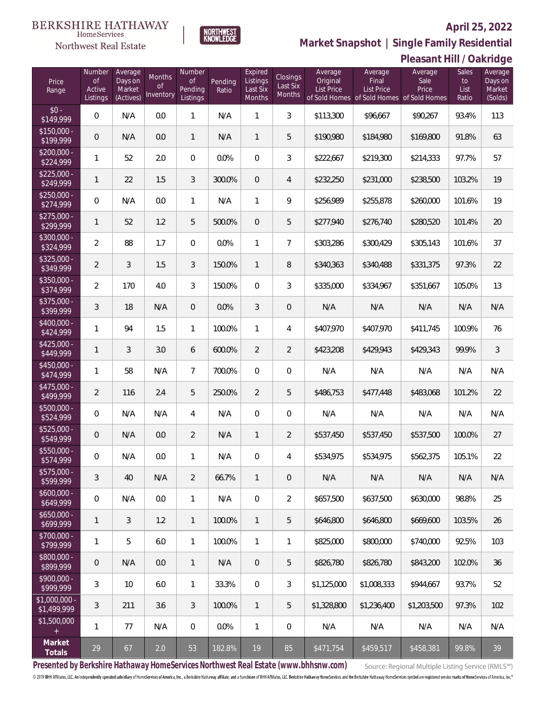

**NORTHWEST**<br>KNOWLEDGE

Northwest Real Estate

**Market Snapshot | Single Family Residential**

# **Pleasant Hill / Oakridge**

| Price<br>Range                | Number<br><b>of</b><br>Active<br>Listings | Average<br>Days on<br>Market<br>(Actives) | Months<br>0f<br>Inventory | Number<br><b>of</b><br>Pending<br>Listings | Pending<br>Ratio | Expired<br>Listings<br>Last Six<br>Months | Closings<br>Last Six<br>Months | Average<br>Original<br><b>List Price</b> | Average<br>Final<br><b>List Price</b><br>of Sold Homes of Sold Homes of Sold Homes | Average<br>Sale<br>Price | Sales<br>to<br>List<br>Ratio | Average<br>Days on<br>Market<br>(Solds) |
|-------------------------------|-------------------------------------------|-------------------------------------------|---------------------------|--------------------------------------------|------------------|-------------------------------------------|--------------------------------|------------------------------------------|------------------------------------------------------------------------------------|--------------------------|------------------------------|-----------------------------------------|
| $$0 -$<br>\$149,999           | $\overline{0}$                            | N/A                                       | 0.0                       | 1                                          | N/A              | 1                                         | 3                              | \$113,300                                | \$96,667                                                                           | \$90,267                 | 93.4%                        | 113                                     |
| $$150,000 -$<br>\$199,999     | $\overline{0}$                            | N/A                                       | 0.0                       | $\mathbf{1}$                               | N/A              | $\mathbf{1}$                              | 5                              | \$190,980                                | \$184,980                                                                          | \$169,800                | 91.8%                        | 63                                      |
| $$200,000 -$<br>\$224,999     | 1                                         | 52                                        | 2.0                       | $\overline{0}$                             | 0.0%             | $\overline{0}$                            | 3                              | \$222,667                                | \$219,300                                                                          | \$214,333                | 97.7%                        | 57                                      |
| $$225,000 -$<br>\$249,999     | $\mathbf{1}$                              | 22                                        | 1.5                       | 3                                          | 300.0%           | $\overline{0}$                            | $\overline{4}$                 | \$232,250                                | \$231,000                                                                          | \$238,500                | 103.2%                       | 19                                      |
| $$250,000 -$<br>\$274,999     | $\mathbf{0}$                              | N/A                                       | 0.0                       | $\mathbf{1}$                               | N/A              | $\mathbf{1}$                              | 9                              | \$256,989                                | \$255,878                                                                          | \$260,000                | 101.6%                       | 19                                      |
| $$275,000 -$<br>\$299,999     | $\mathbf{1}$                              | 52                                        | 1.2                       | 5                                          | 500.0%           | $\overline{0}$                            | 5                              | \$277,940                                | \$276,740                                                                          | \$280,520                | 101.4%                       | 20                                      |
| \$300,000 -<br>\$324,999      | $\overline{2}$                            | 88                                        | 1.7                       | $\Omega$                                   | 0.0%             | $\mathbf{1}$                              | $\overline{7}$                 | \$303,286                                | \$300,429                                                                          | \$305,143                | 101.6%                       | 37                                      |
| $$325,000 -$<br>\$349,999     | $\overline{2}$                            | 3                                         | 1.5                       | 3                                          | 150.0%           | $\mathbf{1}$                              | 8                              | \$340,363                                | \$340,488                                                                          | \$331,375                | 97.3%                        | 22                                      |
| \$350,000 -<br>\$374,999      | $\overline{2}$                            | 170                                       | 4.0                       | 3                                          | 150.0%           | $\overline{0}$                            | 3                              | \$335,000                                | \$334,967                                                                          | \$351,667                | 105.0%                       | 13                                      |
| \$375,000 -<br>\$399,999      | 3                                         | 18                                        | N/A                       | $\overline{0}$                             | 0.0%             | 3                                         | $\overline{0}$                 | N/A                                      | N/A                                                                                | N/A                      | N/A                          | N/A                                     |
| \$400,000 -<br>\$424,999      | $\mathbf{1}$                              | 94                                        | 1.5                       | $\mathbf{1}$                               | 100.0%           | $\mathbf{1}$                              | 4                              | \$407,970                                | \$407,970                                                                          | \$411,745                | 100.9%                       | 76                                      |
| $$425,000 -$<br>\$449,999     | $\mathbf{1}$                              | 3                                         | 3.0                       | 6                                          | 600.0%           | $\overline{2}$                            | $\overline{2}$                 | \$423,208                                | \$429,943                                                                          | \$429,343                | 99.9%                        | $\mathfrak{Z}$                          |
| $$450,000 -$<br>\$474,999     | $\mathbf{1}$                              | 58                                        | N/A                       | $7\overline{ }$                            | 700.0%           | $\Omega$                                  | $\overline{0}$                 | N/A                                      | N/A                                                                                | N/A                      | N/A                          | N/A                                     |
| $$475,000 -$<br>\$499,999     | $\overline{2}$                            | 116                                       | 2.4                       | 5                                          | 250.0%           | $\overline{2}$                            | 5                              | \$486,753                                | \$477,448                                                                          | \$483,068                | 101.2%                       | 22                                      |
| $$500,000 -$<br>\$524,999     | $\overline{0}$                            | N/A                                       | N/A                       | 4                                          | N/A              | $\overline{0}$                            | $\overline{0}$                 | N/A                                      | N/A                                                                                | N/A                      | N/A                          | N/A                                     |
| $$525,000 -$<br>\$549,999     | $\overline{0}$                            | N/A                                       | 0.0                       | $\overline{2}$                             | N/A              | $\mathbf{1}$                              | $\overline{2}$                 | \$537,450                                | \$537,450                                                                          | \$537,500                | 100.0%                       | 27                                      |
| \$550,000 -<br>\$574,999      | $\overline{0}$                            | N/A                                       | 0.0                       | 1                                          | N/A              | 0                                         | 4                              | \$534,975                                | \$534,975                                                                          | \$562,375                | 105.1%                       | 22                                      |
| $$575,000 -$<br>\$599,999     | 3                                         | 40                                        | N/A                       | $\overline{2}$                             | 66.7%            | $\mathbf{1}$                              | 0                              | N/A                                      | N/A                                                                                | N/A                      | N/A                          | N/A                                     |
| $$600,000 -$<br>\$649,999     | $\mathbf 0$                               | N/A                                       | 0.0                       | $\mathbf{1}$                               | N/A              | 0                                         | $\overline{2}$                 | \$657,500                                | \$637,500                                                                          | \$630,000                | 98.8%                        | 25                                      |
| $$650,000 -$<br>\$699,999     | $\mathbf{1}$                              | 3                                         | 1.2                       | 1                                          | 100.0%           | $\mathbf{1}$                              | 5                              | \$646,800                                | \$646,800                                                                          | \$669,600                | 103.5%                       | 26                                      |
| \$700,000 -<br>\$799,999      | $\mathbf{1}$                              | 5                                         | 6.0                       | $\mathbf{1}$                               | 100.0%           | $\mathbf{1}$                              | 1                              | \$825,000                                | \$800,000                                                                          | \$740,000                | 92.5%                        | 103                                     |
| \$800,000 -<br>\$899,999      | $\theta$                                  | N/A                                       | 0.0                       | $\mathbf{1}$                               | N/A              | 0                                         | 5                              | \$826,780                                | \$826,780                                                                          | \$843.200                | 102.0%                       | 36                                      |
| \$900,000 -<br>\$999,999      | 3                                         | 10                                        | 6.0                       | $\mathbf{1}$                               | 33.3%            | 0                                         | 3                              | \$1,125,000                              | \$1,008,333                                                                        | \$944,667                | 93.7%                        | 52                                      |
| $$1,000,000 -$<br>\$1,499,999 | 3                                         | 211                                       | 3.6                       | 3                                          | 100.0%           | $\mathbf{1}$                              | 5                              | \$1,328,800                              | \$1,236,400                                                                        | \$1,203,500              | 97.3%                        | 102                                     |
| \$1,500,000<br>$+$            | $\mathbf{1}$                              | 77                                        | N/A                       | 0                                          | 0.0%             | $\mathbf{1}$                              | 0                              | N/A                                      | N/A                                                                                | N/A                      | N/A                          | N/A                                     |
| Market<br>Totals              | 29                                        | 67                                        | 2.0                       | 53                                         | 182.8%           | 19                                        | 85                             | \$471,754                                | \$459,517                                                                          | \$458,381                | 99.8%                        | 39                                      |

**Presented by Berkshire Hathaway HomeServices Northwest Real Estate (www.bhhsnw.com)**

Source: Regional Multiple Listing Service (RMLS™)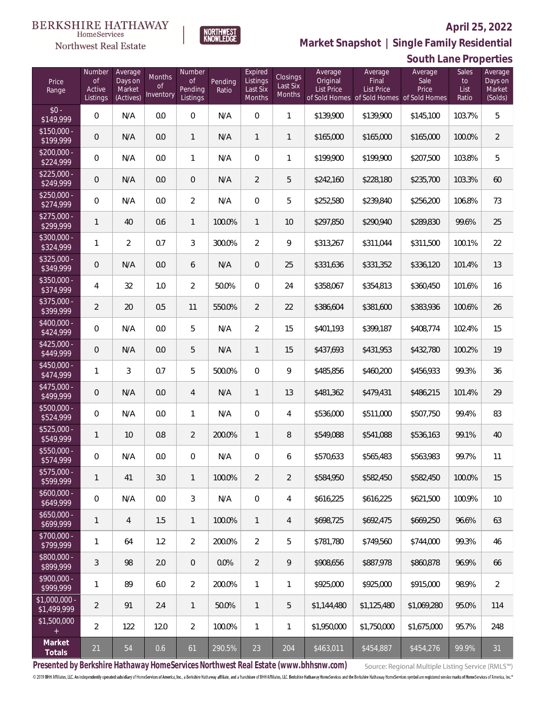

 $\label{lem:sevices} \textsc{Home} \textsc{Service} \textsc{s}$ Northwest Real Estate

**Market Snapshot | Single Family Residential**

|                               | South Lane Properties                     |                                           |                           |                                            |                  |                                           |                                |                                          |                                                                                    |                          |                              |                                         |
|-------------------------------|-------------------------------------------|-------------------------------------------|---------------------------|--------------------------------------------|------------------|-------------------------------------------|--------------------------------|------------------------------------------|------------------------------------------------------------------------------------|--------------------------|------------------------------|-----------------------------------------|
| Price<br>Range                | Number<br><b>of</b><br>Active<br>Listings | Average<br>Days on<br>Market<br>(Actives) | Months<br>0f<br>Inventory | Number<br><b>of</b><br>Pending<br>Listings | Pending<br>Ratio | Expired<br>Listings<br>Last Six<br>Months | Closings<br>Last Six<br>Months | Average<br>Original<br><b>List Price</b> | Average<br>Final<br><b>List Price</b><br>of Sold Homes of Sold Homes of Sold Homes | Average<br>Sale<br>Price | Sales<br>to<br>List<br>Ratio | Average<br>Days on<br>Market<br>(Solds) |
| $$0 -$<br>\$149,999           | $\mathbf 0$                               | N/A                                       | 0.0                       | $\boldsymbol{0}$                           | N/A              | $\mathbf 0$                               | 1                              | \$139,900                                | \$139,900                                                                          | \$145,100                | 103.7%                       | 5                                       |
| $$150,000 -$<br>\$199,999     | $\mathbf 0$                               | N/A                                       | 0.0                       | $\mathbf{1}$                               | N/A              | $\mathbf{1}$                              | 1                              | \$165,000                                | \$165,000                                                                          | \$165,000                | 100.0%                       | $\overline{2}$                          |
| $$200,000 -$<br>\$224,999     | $\boldsymbol{0}$                          | N/A                                       | 0.0                       | $\mathbf{1}$                               | N/A              | $\mathbf 0$                               | $\mathbf{1}$                   | \$199,900                                | \$199,900                                                                          | \$207,500                | 103.8%                       | 5                                       |
| $$225,000 -$<br>\$249,999     | $\mathbf 0$                               | N/A                                       | 0.0                       | $\theta$                                   | N/A              | $\overline{2}$                            | 5                              | \$242,160                                | \$228,180                                                                          | \$235,700                | 103.3%                       | 60                                      |
| $$250,000 -$<br>\$274,999     | 0                                         | N/A                                       | 0.0                       | $\overline{2}$                             | N/A              | $\mathbf 0$                               | 5                              | \$252,580                                | \$239,840                                                                          | \$256,200                | 106.8%                       | 73                                      |
| $$275,000 -$<br>\$299,999     | $\mathbf{1}$                              | 40                                        | 0.6                       | $\mathbf{1}$                               | 100.0%           | $\mathbf{1}$                              | 10                             | \$297,850                                | \$290,940                                                                          | \$289,830                | 99.6%                        | 25                                      |
| \$300,000 -<br>\$324,999      | 1                                         | $\overline{2}$                            | 0.7                       | 3                                          | 300.0%           | $\overline{2}$                            | 9                              | \$313,267                                | \$311,044                                                                          | \$311,500                | 100.1%                       | 22                                      |
| $$325,000 -$<br>\$349,999     | $\mathsf{O}\xspace$                       | N/A                                       | 0.0                       | 6                                          | N/A              | $\overline{0}$                            | 25                             | \$331,636                                | \$331,352                                                                          | \$336,120                | 101.4%                       | 13                                      |
| $$350,000 -$<br>\$374,999     | 4                                         | 32                                        | 1.0                       | $\overline{2}$                             | 50.0%            | $\mathbf{0}$                              | 24                             | \$358,067                                | \$354,813                                                                          | \$360,450                | 101.6%                       | 16                                      |
| $$375,000 -$<br>\$399,999     | $\overline{2}$                            | 20                                        | 0.5                       | 11                                         | 550.0%           | $\overline{2}$                            | 22                             | \$386,604                                | \$381,600                                                                          | \$383,936                | 100.6%                       | 26                                      |
| $$400,000 -$<br>\$424,999     | $\mathbf 0$                               | N/A                                       | 0.0                       | 5                                          | N/A              | $\overline{2}$                            | 15                             | \$401,193                                | \$399,187                                                                          | \$408,774                | 102.4%                       | 15                                      |
| $$425,000 -$<br>\$449,999     | $\mathbf 0$                               | N/A                                       | 0.0                       | 5                                          | N/A              | 1                                         | 15                             | \$437,693                                | \$431,953                                                                          | \$432,780                | 100.2%                       | 19                                      |
| $$450,000 -$<br>\$474,999     | 1                                         | 3                                         | 0.7                       | 5                                          | 500.0%           | $\mathbf 0$                               | 9                              | \$485,856                                | \$460,200                                                                          | \$456,933                | 99.3%                        | 36                                      |
| $$475,000 -$<br>\$499,999     | $\mathsf{O}\xspace$                       | N/A                                       | 0.0                       | $\overline{4}$                             | N/A              | $\mathbf{1}$                              | 13                             | \$481,362                                | \$479,431                                                                          | \$486,215                | 101.4%                       | 29                                      |
| $$500,000 -$<br>\$524,999     | $\overline{0}$                            | N/A                                       | 0.0                       | $\mathbf{1}$                               | N/A              | $\mathbf 0$                               | 4                              | \$536,000                                | \$511,000                                                                          | \$507,750                | 99.4%                        | 83                                      |
| $$525,000 -$<br>\$549,999     | $\mathbf{1}$                              | 10                                        | 0.8                       | $\overline{2}$                             | 200.0%           | 1                                         | 8                              | \$549,088                                | \$541,088                                                                          | \$536,163                | 99.1%                        | 40                                      |
| \$550,000<br>\$574,999        | 0                                         | N/A                                       | 0.0                       | $\overline{0}$                             | N/A              | $\mathbf{0}$                              | 6                              | \$570,633                                | \$565,483                                                                          | \$563,983                | 99.7%                        | 11                                      |
| $$575,000 -$<br>\$599,999     | $\mathbf{1}$                              | 41                                        | 3.0                       | $\mathbf{1}$                               | 100.0%           | $\overline{2}$                            | $\overline{2}$                 | \$584,950                                | \$582,450                                                                          | \$582,450                | 100.0%                       | 15                                      |
| $$600,000 -$<br>\$649,999     | $\overline{0}$                            | N/A                                       | 0.0                       | 3                                          | N/A              | $\overline{0}$                            | 4                              | \$616,225                                | \$616,225                                                                          | \$621,500                | 100.9%                       | 10                                      |
| $$650,000 -$<br>\$699,999     | $\mathbf{1}$                              | $\overline{4}$                            | 1.5                       | $\mathbf{1}$                               | 100.0%           | $\mathbf{1}$                              | 4                              | \$698,725                                | \$692,475                                                                          | \$669,250                | 96.6%                        | 63                                      |
| $$700,000 -$<br>\$799,999     | 1                                         | 64                                        | 1.2                       | 2                                          | 200.0%           | $\overline{2}$                            | 5                              | \$781,780                                | \$749,560                                                                          | \$744,000                | 99.3%                        | 46                                      |
| $$800,000 -$<br>\$899,999     | 3                                         | 98                                        | 2.0                       | $\overline{0}$                             | 0.0%             | $\overline{2}$                            | 9                              | \$908,656                                | \$887,978                                                                          | \$860,878                | 96.9%                        | 66                                      |
| $$900.000 -$<br>\$999,999     | 1                                         | 89                                        | 6.0                       | 2                                          | 200.0%           | $\mathbf{1}$                              | 1                              | \$925,000                                | \$925,000                                                                          | \$915,000                | 98.9%                        | 2                                       |
| $$1,000,000$ -<br>\$1,499,999 | $\overline{2}$                            | 91                                        | 2.4                       | $\mathbf{1}$                               | 50.0%            | $\mathbf{1}$                              | 5                              | \$1,144,480                              | \$1,125,480                                                                        | \$1,069,280              | 95.0%                        | 114                                     |
| \$1,500,000                   | $\overline{2}$                            | 122                                       | 12.0                      | $\overline{2}$                             | 100.0%           | 1                                         | 1                              | \$1,950,000                              | \$1,750,000                                                                        | \$1,675,000              | 95.7%                        | 248                                     |
| Market<br>Totals              | 21                                        | 54                                        | 0.6                       | 61                                         | 290.5%           | 23                                        | 204                            | \$463,011                                | \$454,887                                                                          | \$454,276                | 99.9%                        | 31                                      |

**Presented by Berkshire Hathaway HomeServices Northwest Real Estate (www.bhhsnw.com)**

Source: Regional Multiple Listing Service (RMLS™)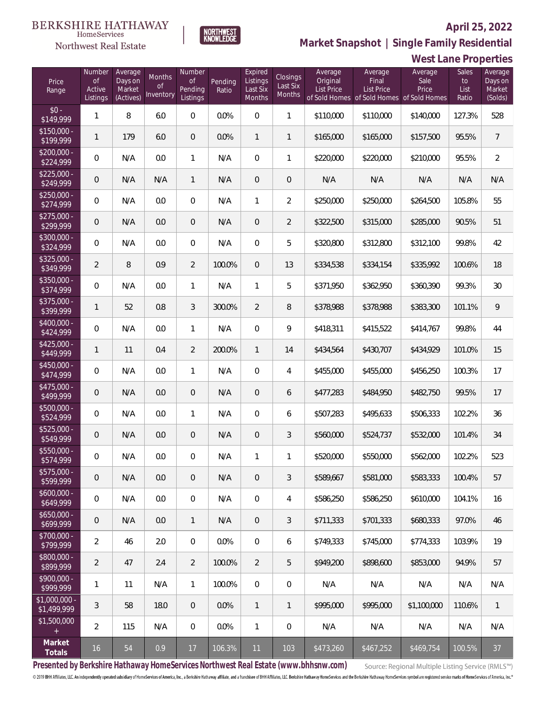

**NORTHWEST**<br>KNOWLEDGE

Northwest Real Estate

**Market Snapshot | Single Family Residential**

# **West Lane Properties**

| Price<br>Range                   | Number<br>of<br>Active<br>Listings | Average<br>Days on<br>Market<br>(Actives) | Months<br>0f<br>Inventory | Number<br>Οf<br>Pending<br>Listings | Pending<br>Ratio | Expired<br>Listings<br>Last Six<br><b>Months</b> | Closings<br>Last Six<br>Months | Average<br>Original<br><b>List Price</b> | Average<br>Final<br>List Price<br>of Sold Homes of Sold Homes of Sold Homes | Average<br>Sale<br>Price | Sales<br>to<br>List<br>Ratio | Average<br>Days on<br>Market<br>(Solds) |
|----------------------------------|------------------------------------|-------------------------------------------|---------------------------|-------------------------------------|------------------|--------------------------------------------------|--------------------------------|------------------------------------------|-----------------------------------------------------------------------------|--------------------------|------------------------------|-----------------------------------------|
| $$0 -$<br>\$149,999              | $\mathbf{1}$                       | $\, 8$                                    | 6.0                       | $\mathbf{0}$                        | 0.0%             | $\overline{0}$                                   | $\mathbf{1}$                   | \$110,000                                | \$110,000                                                                   | \$140,000                | 127.3%                       | 528                                     |
| $\sqrt{$150,000}$ -<br>\$199,999 | 1                                  | 179                                       | 6.0                       | $\overline{0}$                      | 0.0%             | $\mathbf{1}$                                     | $\mathbf{1}$                   | \$165,000                                | \$165,000                                                                   | \$157,500                | 95.5%                        | $\overline{7}$                          |
| $$200.000 -$<br>\$224,999        | 0                                  | N/A                                       | 0.0                       | $\mathbf{1}$                        | N/A              | $\mathbf{0}$                                     | 1                              | \$220,000                                | \$220,000                                                                   | \$210,000                | 95.5%                        | $\overline{2}$                          |
| $$225.000 -$<br>\$249,999        | 0                                  | N/A                                       | N/A                       | $\mathbf{1}$                        | N/A              | $\overline{0}$                                   | 0                              | N/A                                      | N/A                                                                         | N/A                      | N/A                          | N/A                                     |
| $$250,000 -$<br>\$274,999        | 0                                  | N/A                                       | 0.0                       | $\overline{0}$                      | N/A              | 1                                                | $\overline{2}$                 | \$250,000                                | \$250,000                                                                   | \$264,500                | 105.8%                       | 55                                      |
| $$275,000 -$<br>\$299,999        | $\mathbf 0$                        | N/A                                       | 0.0                       | $\theta$                            | N/A              | $\overline{0}$                                   | $\overline{2}$                 | \$322,500                                | \$315,000                                                                   | \$285,000                | 90.5%                        | 51                                      |
| \$300,000 -<br>\$324,999         | 0                                  | N/A                                       | 0.0                       | 0                                   | N/A              | $\overline{0}$                                   | 5                              | \$320,800                                | \$312,800                                                                   | \$312,100                | 99.8%                        | 42                                      |
| $$325,000 -$<br>\$349,999        | $\overline{2}$                     | 8                                         | 0.9                       | $\overline{2}$                      | 100.0%           | $\overline{0}$                                   | 13                             | \$334,538                                | \$334,154                                                                   | \$335,992                | 100.6%                       | 18                                      |
| \$350,000 -<br>\$374,999         | 0                                  | N/A                                       | 0.0                       | $\mathbf{1}$                        | N/A              | $\mathbf{1}$                                     | 5                              | \$371,950                                | \$362,950                                                                   | \$360,390                | 99.3%                        | 30                                      |
| $$375,000 -$<br>\$399,999        | 1                                  | 52                                        | 0.8                       | 3                                   | 300.0%           | $\overline{2}$                                   | 8                              | \$378,988                                | \$378,988                                                                   | \$383,300                | 101.1%                       | 9                                       |
| $$400,000 -$<br>\$424,999        | 0                                  | N/A                                       | 0.0                       | $\mathbf{1}$                        | N/A              | $\overline{0}$                                   | 9                              | \$418,311                                | \$415,522                                                                   | \$414,767                | 99.8%                        | 44                                      |
| $$425,000 -$<br>\$449,999        | 1                                  | 11                                        | 0.4                       | $\overline{2}$                      | 200.0%           | $\mathbf{1}$                                     | 14                             | \$434,564                                | \$430,707                                                                   | \$434,929                | 101.0%                       | 15                                      |
| \$450,000 -<br>\$474,999         | 0                                  | N/A                                       | 0.0                       | $\mathbf{1}$                        | N/A              | $\overline{0}$                                   | 4                              | \$455,000                                | \$455,000                                                                   | \$456,250                | 100.3%                       | 17                                      |
| $$475,000 -$<br>\$499,999        | 0                                  | N/A                                       | 0.0                       | $\overline{0}$                      | N/A              | $\overline{0}$                                   | 6                              | \$477,283                                | \$484,950                                                                   | \$482,750                | 99.5%                        | 17                                      |
| \$500,000 -<br>\$524,999         | $\boldsymbol{0}$                   | N/A                                       | 0.0                       | $\mathbf{1}$                        | N/A              | $\overline{0}$                                   | 6                              | \$507,283                                | \$495,633                                                                   | \$506,333                | 102.2%                       | 36                                      |
| \$525,000 -<br>\$549,999         | 0                                  | N/A                                       | 0.0                       | $\mathbf 0$                         | N/A              | $\mathbf 0$                                      | 3                              | \$560,000                                | \$524,737                                                                   | \$532,000                | 101.4%                       | 34                                      |
| \$550,000 -<br>\$574,999         | 0                                  | N/A                                       | $0.0\,$                   | $\mathbf{0}$                        | N/A              | 1                                                | 1                              | \$520,000                                | \$550,000                                                                   | \$562,000                | 102.2%                       | 523                                     |
| $$575,000 -$<br>\$599,999        | $\mathbf 0$                        | N/A                                       | 0.0                       | $\theta$                            | N/A              | $\overline{0}$                                   | 3                              | \$589,667                                | \$581,000                                                                   | \$583,333                | 100.4%                       | 57                                      |
| $$600,000 -$<br>\$649,999        | 0                                  | N/A                                       | 0.0                       | $\boldsymbol{0}$                    | N/A              | $\overline{0}$                                   | 4                              | \$586,250                                | \$586,250                                                                   | \$610,000                | 104.1%                       | 16                                      |
| $$650,000 -$<br>\$699,999        | $\mathbf 0$                        | N/A                                       | 0.0                       | $\mathbf{1}$                        | N/A              | $\overline{0}$                                   | 3                              | \$711,333                                | \$701,333                                                                   | \$680,333                | 97.0%                        | 46                                      |
| $$700,000 -$<br>\$799,999        | $\overline{2}$                     | 46                                        | 2.0                       | $\boldsymbol{0}$                    | 0.0%             | $\overline{0}$                                   | 6                              | \$749,333                                | \$745,000                                                                   | \$774,333                | 103.9%                       | 19                                      |
| \$800,000 -<br>\$899,999         | $\overline{2}$                     | 47                                        | 2.4                       | 2                                   | 100.0%           | $\overline{2}$                                   | 5                              | \$949,200                                | \$898,600                                                                   | \$853,000                | 94.9%                        | 57                                      |
| $$900,000 -$<br>\$999,999        | 1                                  | 11                                        | N/A                       | $\mathbf{1}$                        | 100.0%           | $\overline{0}$                                   | 0                              | N/A                                      | N/A                                                                         | N/A                      | N/A                          | N/A                                     |
| $$1,000,000$ -<br>\$1,499,999    | 3                                  | 58                                        | 18.0                      | $\overline{0}$                      | 0.0%             | $\mathbf{1}$                                     | $\mathbf{1}$                   | \$995,000                                | \$995,000                                                                   | \$1,100,000              | 110.6%                       | $\mathbf{1}$                            |
| \$1,500,000                      | $\overline{2}$                     | 115                                       | N/A                       | $\mathbf{0}$                        | 0.0%             | $\mathbf{1}$                                     | 0                              | N/A                                      | N/A                                                                         | N/A                      | N/A                          | N/A                                     |
| Market<br>Totals                 | 16                                 | 54                                        | 0.9                       | 17                                  | 106.3%           | 11                                               | 103                            | \$473,260                                | \$467,252                                                                   | \$469,754                | 100.5%                       | 37                                      |

**Presented by Berkshire Hathaway HomeServices Northwest Real Estate (www.bhhsnw.com)**

Source: Regional Multiple Listing Service (RMLS™)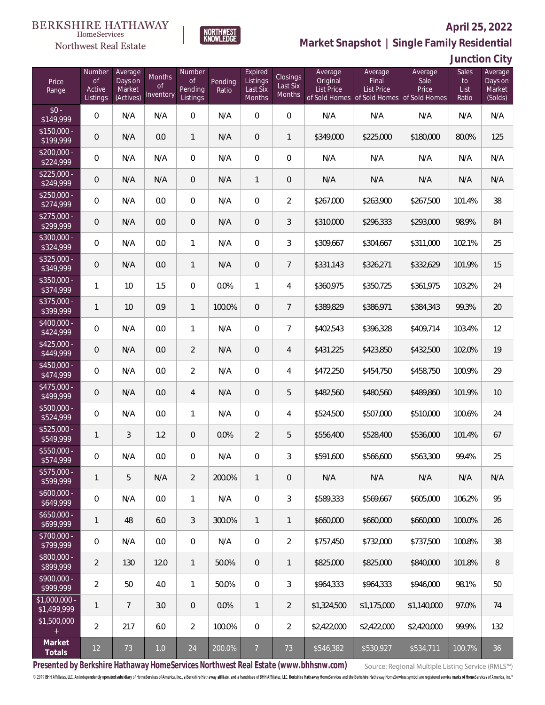

**NORTHWEST**<br>KNOWLEDGE

Northwest Real Estate

**Market Snapshot | Single Family Residential**

**Junction City**

| Price<br>Range                | Number<br><b>of</b><br>Active<br>Listings | Average<br>Days on<br>Market<br>(Actives) | Months<br>0f<br>Inventory | Number<br>Οf<br>Pending<br>Listings | Pending<br>Ratio | Expired<br>Listings<br>Last Six<br>Months | Closings<br>Last Six<br>Months | Average<br>Original<br><b>List Price</b> | Average<br>Final<br>List Price<br>of Sold Homes of Sold Homes of Sold Homes | Average<br>Sale<br>Price | Sales<br>to<br>List<br>Ratio | Average<br>Days on<br>Market<br>(Solds) |
|-------------------------------|-------------------------------------------|-------------------------------------------|---------------------------|-------------------------------------|------------------|-------------------------------------------|--------------------------------|------------------------------------------|-----------------------------------------------------------------------------|--------------------------|------------------------------|-----------------------------------------|
| $$0 -$<br>\$149,999           | $\overline{0}$                            | N/A                                       | N/A                       | $\overline{0}$                      | N/A              | $\Omega$                                  | $\overline{0}$                 | N/A                                      | N/A                                                                         | N/A                      | N/A                          | N/A                                     |
| $$150,000 -$<br>\$199,999     | 0                                         | N/A                                       | 0.0                       | $\mathbf{1}$                        | N/A              | $\overline{0}$                            | $\mathbf{1}$                   | \$349,000                                | \$225,000                                                                   | \$180,000                | 80.0%                        | 125                                     |
| $$200,000 -$<br>\$224,999     | 0                                         | N/A                                       | N/A                       | $\overline{0}$                      | N/A              | $\overline{0}$                            | 0                              | N/A                                      | N/A                                                                         | N/A                      | N/A                          | N/A                                     |
| $$225,000 -$<br>\$249,999     | 0                                         | N/A                                       | N/A                       | $\overline{0}$                      | N/A              | 1                                         | 0                              | N/A                                      | N/A                                                                         | N/A                      | N/A                          | N/A                                     |
| $$250,000 -$<br>\$274,999     | $\overline{0}$                            | N/A                                       | 0.0                       | $\overline{0}$                      | N/A              | $\overline{0}$                            | $\overline{2}$                 | \$267,000                                | \$263,900                                                                   | \$267,500                | 101.4%                       | 38                                      |
| $$275,000 -$<br>\$299,999     | $\mathbf 0$                               | N/A                                       | 0.0                       | $\overline{0}$                      | N/A              | $\overline{0}$                            | 3                              | \$310,000                                | \$296,333                                                                   | \$293,000                | 98.9%                        | 84                                      |
| \$300,000 -<br>\$324,999      | $\overline{0}$                            | N/A                                       | 0.0                       | $\mathbf{1}$                        | N/A              | $\overline{0}$                            | 3                              | \$309,667                                | \$304,667                                                                   | \$311,000                | 102.1%                       | 25                                      |
| $$325,000 -$<br>\$349,999     | $\mathbf 0$                               | N/A                                       | 0.0                       | $\mathbf{1}$                        | N/A              | $\overline{0}$                            | $\overline{7}$                 | \$331,143                                | \$326,271                                                                   | \$332,629                | 101.9%                       | 15                                      |
| \$350,000 -<br>\$374,999      | 1                                         | 10                                        | 1.5                       | $\overline{0}$                      | 0.0%             | $\mathbf{1}$                              | 4                              | \$360,975                                | \$350,725                                                                   | \$361,975                | 103.2%                       | 24                                      |
| \$375,000 -<br>\$399,999      | 1                                         | 10                                        | 0.9                       | $\mathbf{1}$                        | 100.0%           | $\overline{0}$                            | $\overline{7}$                 | \$389,829                                | \$386,971                                                                   | \$384,343                | 99.3%                        | 20                                      |
| \$400,000 -<br>\$424,999      | $\overline{0}$                            | N/A                                       | 0.0                       | $\mathbf{1}$                        | N/A              | $\overline{0}$                            | $\overline{7}$                 | \$402,543                                | \$396,328                                                                   | \$409,714                | 103.4%                       | 12                                      |
| $$425,000 -$<br>\$449,999     | 0                                         | N/A                                       | 0.0                       | $\overline{2}$                      | N/A              | $\overline{0}$                            | $\overline{4}$                 | \$431,225                                | \$423,850                                                                   | \$432,500                | 102.0%                       | 19                                      |
| $$450,000 -$<br>\$474,999     | $\overline{0}$                            | N/A                                       | 0.0                       | $\overline{2}$                      | N/A              | $\overline{0}$                            | 4                              | \$472,250                                | \$454,750                                                                   | \$458,750                | 100.9%                       | 29                                      |
| $$475,000 -$<br>\$499,999     | $\mathbf 0$                               | N/A                                       | 0.0                       | $\overline{4}$                      | N/A              | $\overline{0}$                            | 5                              | \$482,560                                | \$480,560                                                                   | \$489,860                | 101.9%                       | 10                                      |
| $$500,000 -$<br>\$524,999     | $\overline{0}$                            | N/A                                       | 0.0                       | $\mathbf{1}$                        | N/A              | $\overline{0}$                            | 4                              | \$524,500                                | \$507,000                                                                   | \$510,000                | 100.6%                       | 24                                      |
| $$525,000 -$<br>\$549,999     | 1                                         | 3                                         | 1.2                       | $\overline{0}$                      | 0.0%             | $\overline{2}$                            | 5                              | \$556,400                                | \$528,400                                                                   | \$536,000                | 101.4%                       | 67                                      |
| \$550,000 -<br>\$574,999      | 0                                         | N/A                                       | 0.0                       | $\overline{0}$                      | N/A              | 0                                         | 3                              | \$591,600                                | \$566,600                                                                   | \$563,300                | 99.4%                        | 25                                      |
| $$575,000 -$<br>\$599,999     | 1                                         | 5                                         | N/A                       | $\overline{2}$                      | 200.0%           | $\mathbf{1}$                              | 0                              | N/A                                      | N/A                                                                         | N/A                      | N/A                          | N/A                                     |
| $$600,000 -$<br>\$649,999     | 0                                         | N/A                                       | 0.0                       | $\mathbf{1}$                        | N/A              | $\overline{0}$                            | 3                              | \$589,333                                | \$569,667                                                                   | \$605,000                | 106.2%                       | 95                                      |
| $$650,000 -$<br>\$699,999     | 1                                         | 48                                        | 6.0                       | 3                                   | 300.0%           | $\mathbf{1}$                              | $\mathbf{1}$                   | \$660,000                                | \$660,000                                                                   | \$660,000                | 100.0%                       | 26                                      |
| $$700,000 -$<br>\$799,999     | 0                                         | N/A                                       | 0.0                       | $\boldsymbol{0}$                    | N/A              | $\mathbf{0}$                              | $\overline{2}$                 | \$757,450                                | \$732,000                                                                   | \$737,500                | 100.8%                       | 38                                      |
| $$800,000 -$<br>\$899,999     | $\overline{2}$                            | 130                                       | 12.0                      | $\mathbf{1}$                        | 50.0%            | $\overline{0}$                            | $\mathbf{1}$                   | \$825,000                                | \$825,000                                                                   | \$840,000                | 101.8%                       | 8                                       |
| $$900,000 -$<br>\$999,999     | $\overline{2}$                            | 50                                        | 4.0                       | $\mathbf{1}$                        | 50.0%            | $\overline{0}$                            | 3                              | \$964,333                                | \$964,333                                                                   | \$946,000                | 98.1%                        | 50                                      |
| $$1,000,000 -$<br>\$1,499,999 | $\mathbf{1}$                              | $\overline{7}$                            | 3.0                       | $\theta$                            | 0.0%             | $\mathbf{1}$                              | $\overline{2}$                 | \$1,324,500                              | \$1,175,000                                                                 | \$1,140,000              | 97.0%                        | 74                                      |
| \$1,500,000<br>$+$            | $\overline{2}$                            | 217                                       | 6.0                       | $\overline{2}$                      | 100.0%           | $\overline{0}$                            | $\overline{2}$                 | \$2,422,000                              | \$2,422,000                                                                 | \$2,420,000              | 99.9%                        | 132                                     |
| Market<br>Totals              | 12                                        | 73                                        | 1.0                       | 24                                  | 200.0%           | $\overline{7}$                            | 73                             | \$546,382                                | \$530,927                                                                   | \$534,711                | 100.7%                       | 36                                      |

**Presented by Berkshire Hathaway HomeServices Northwest Real Estate (www.bhhsnw.com)**

Source: Regional Multiple Listing Service (RMLS™)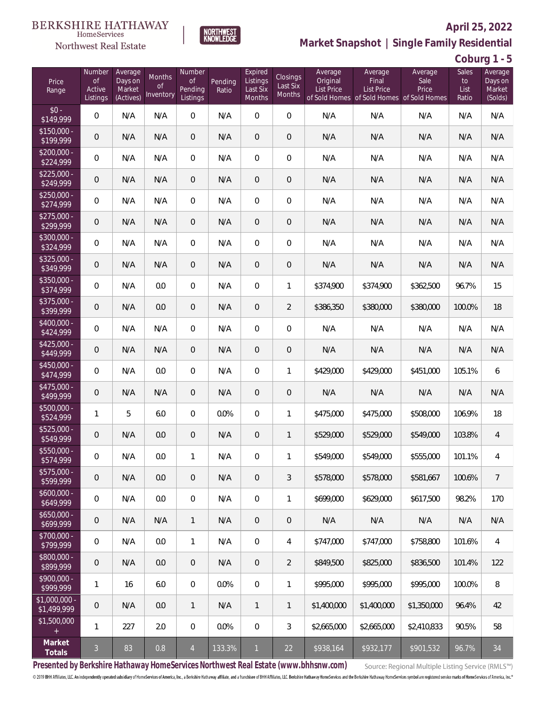#### BERKSHIRE HATHAWAY HomeServices



## **April 25, 2022**

**Market Snapshot | Single Family Residential**

**Coburg 1 - 5**

| Price<br>Range                | Number<br><b>of</b><br>Active<br>Listings | Average<br>Days on<br>Market<br>(Actives) | Months<br>0f<br>Inventory | Number<br>0f<br>Pending<br>Listings | Pending<br>Ratio | Expired<br>Listings<br>Last Six<br>Months | Closings<br>Last Six<br>Months | Average<br>Original<br><b>List Price</b> | Average<br>Final<br>List Price<br>of Sold Homes of Sold Homes of Sold Homes | Average<br>Sale<br>Price | Sales<br>to<br>List<br>Ratio | Average<br>Days on<br>Market<br>(Solds) |
|-------------------------------|-------------------------------------------|-------------------------------------------|---------------------------|-------------------------------------|------------------|-------------------------------------------|--------------------------------|------------------------------------------|-----------------------------------------------------------------------------|--------------------------|------------------------------|-----------------------------------------|
| $$0 -$<br>\$149,999           | $\overline{0}$                            | N/A                                       | N/A                       | $\overline{0}$                      | N/A              | $\Omega$                                  | $\overline{0}$                 | N/A                                      | N/A                                                                         | N/A                      | N/A                          | N/A                                     |
| $$150,000 -$<br>\$199,999     | 0                                         | N/A                                       | N/A                       | $\overline{0}$                      | N/A              | $\overline{0}$                            | 0                              | N/A                                      | N/A                                                                         | N/A                      | N/A                          | N/A                                     |
| $$200,000 -$<br>\$224,999     | 0                                         | N/A                                       | N/A                       | $\overline{0}$                      | N/A              | $\overline{0}$                            | 0                              | N/A                                      | N/A                                                                         | N/A                      | N/A                          | N/A                                     |
| $$225,000 -$<br>\$249,999     | 0                                         | N/A                                       | N/A                       | $\overline{0}$                      | N/A              | $\overline{0}$                            | 0                              | N/A                                      | N/A                                                                         | N/A                      | N/A                          | N/A                                     |
| $$250,000 -$<br>\$274,999     | $\boldsymbol{0}$                          | N/A                                       | N/A                       | $\overline{0}$                      | N/A              | $\overline{0}$                            | 0                              | N/A                                      | N/A                                                                         | N/A                      | N/A                          | N/A                                     |
| $$275,000 -$<br>\$299,999     | $\mathbf 0$                               | N/A                                       | N/A                       | $\overline{0}$                      | N/A              | $\overline{0}$                            | $\mathbf 0$                    | N/A                                      | N/A                                                                         | N/A                      | N/A                          | N/A                                     |
| \$300,000 -<br>\$324,999      | $\boldsymbol{0}$                          | N/A                                       | N/A                       | $\overline{0}$                      | N/A              | $\overline{0}$                            | 0                              | N/A                                      | N/A                                                                         | N/A                      | N/A                          | N/A                                     |
| $$325,000 -$<br>\$349,999     | 0                                         | N/A                                       | N/A                       | $\overline{0}$                      | N/A              | $\overline{0}$                            | $\mathbf 0$                    | N/A                                      | N/A                                                                         | N/A                      | N/A                          | N/A                                     |
| \$350,000 -<br>\$374,999      | $\overline{0}$                            | N/A                                       | 0.0                       | $\overline{0}$                      | N/A              | $\overline{0}$                            | 1                              | \$374,900                                | \$374,900                                                                   | \$362,500                | 96.7%                        | 15                                      |
| $$375,000 -$<br>\$399,999     | $\mathbf 0$                               | N/A                                       | 0.0                       | $\overline{0}$                      | N/A              | $\overline{0}$                            | $\overline{2}$                 | \$386,350                                | \$380,000                                                                   | \$380,000                | 100.0%                       | 18                                      |
| $$400,000 -$<br>\$424,999     | $\boldsymbol{0}$                          | N/A                                       | N/A                       | $\overline{0}$                      | N/A              | $\overline{0}$                            | 0                              | N/A                                      | N/A                                                                         | N/A                      | N/A                          | N/A                                     |
| $$425,000 -$<br>\$449,999     | 0                                         | N/A                                       | N/A                       | $\overline{0}$                      | N/A              | $\overline{0}$                            | $\mathbf 0$                    | N/A                                      | N/A                                                                         | N/A                      | N/A                          | N/A                                     |
| $$450,000 -$<br>\$474,999     | $\boldsymbol{0}$                          | N/A                                       | 0.0                       | $\overline{0}$                      | N/A              | $\overline{0}$                            | 1                              | \$429,000                                | \$429,000                                                                   | \$451,000                | 105.1%                       | 6                                       |
| $$475,000 -$<br>\$499,999     | $\mathbf 0$                               | N/A                                       | N/A                       | $\overline{0}$                      | N/A              | $\overline{0}$                            | 0                              | N/A                                      | N/A                                                                         | N/A                      | N/A                          | N/A                                     |
| $$500,000 -$<br>\$524,999     | 1                                         | 5                                         | 6.0                       | $\overline{0}$                      | 0.0%             | $\overline{0}$                            | 1                              | \$475,000                                | \$475,000                                                                   | \$508,000                | 106.9%                       | 18                                      |
| $$525,000 -$<br>\$549,999     | 0                                         | N/A                                       | 0.0                       | $\overline{0}$                      | N/A              | $\overline{0}$                            | $\mathbf{1}$                   | \$529,000                                | \$529,000                                                                   | \$549,000                | 103.8%                       | 4                                       |
| \$550,000 -<br>\$574,999      | 0                                         | N/A                                       | 0.0                       | $\mathbf{1}$                        | N/A              | 0                                         | 1                              | \$549,000                                | \$549,000                                                                   | \$555,000                | 101.1%                       | 4                                       |
| $$575,000 -$<br>\$599,999     | 0                                         | N/A                                       | 0.0                       | $\theta$                            | N/A              | $\theta$                                  | 3                              | \$578,000                                | \$578,000                                                                   | \$581,667                | 100.6%                       | $\overline{7}$                          |
| $$600,000 -$<br>\$649,999     | 0                                         | N/A                                       | 0.0                       | $\boldsymbol{0}$                    | N/A              | $\overline{0}$                            | 1                              | \$699,000                                | \$629,000                                                                   | \$617,500                | 98.2%                        | 170                                     |
| $$650,000 -$<br>\$699,999     | $\mathbf 0$                               | N/A                                       | N/A                       | $\mathbf{1}$                        | N/A              | $\overline{0}$                            | 0                              | N/A                                      | N/A                                                                         | N/A                      | N/A                          | N/A                                     |
| $$700,000 -$<br>\$799,999     | $\overline{0}$                            | N/A                                       | 0.0                       | $\mathbf{1}$                        | N/A              | $\overline{0}$                            | 4                              | \$747,000                                | \$747,000                                                                   | \$758,800                | 101.6%                       | $\overline{4}$                          |
| $$800,000 -$<br>\$899,999     | $\mathbf 0$                               | N/A                                       | 0.0                       | $\theta$                            | N/A              | $\overline{0}$                            | $\overline{2}$                 | \$849,500                                | \$825,000                                                                   | \$836,500                | 101.4%                       | 122                                     |
| $$900,000 -$<br>\$999,999     | 1                                         | 16                                        | 6.0                       | $\boldsymbol{0}$                    | 0.0%             | $\overline{0}$                            | 1                              | \$995,000                                | \$995,000                                                                   | \$995,000                | 100.0%                       | $\, 8$                                  |
| $$1,000,000 -$<br>\$1,499,999 | $\theta$                                  | N/A                                       | 0.0                       | $\mathbf{1}$                        | N/A              | $\mathbf{1}$                              | $\mathbf{1}$                   | \$1,400,000                              | \$1,400,000                                                                 | \$1,350,000              | 96.4%                        | 42                                      |
| \$1,500,000<br>$+$            | $\mathbf{1}$                              | 227                                       | 2.0                       | 0                                   | 0.0%             | $\overline{0}$                            | 3                              | \$2,665,000                              | \$2,665,000                                                                 | \$2,410,833              | 90.5%                        | 58                                      |
| Market<br>Totals              | $\mathfrak{Z}$                            | 83                                        | 0.8                       | $\overline{4}$                      | 133.3%           | $\mathbf{1}$                              | 22                             | \$938,164                                | \$932,177                                                                   | \$901,532                | 96.7%                        | 34                                      |

**NORTHWEST**<br>KNOWLEDGE

**Presented by Berkshire Hathaway HomeServices Northwest Real Estate (www.bhhsnw.com)**

Source: Regional Multiple Listing Service (RMLS™)